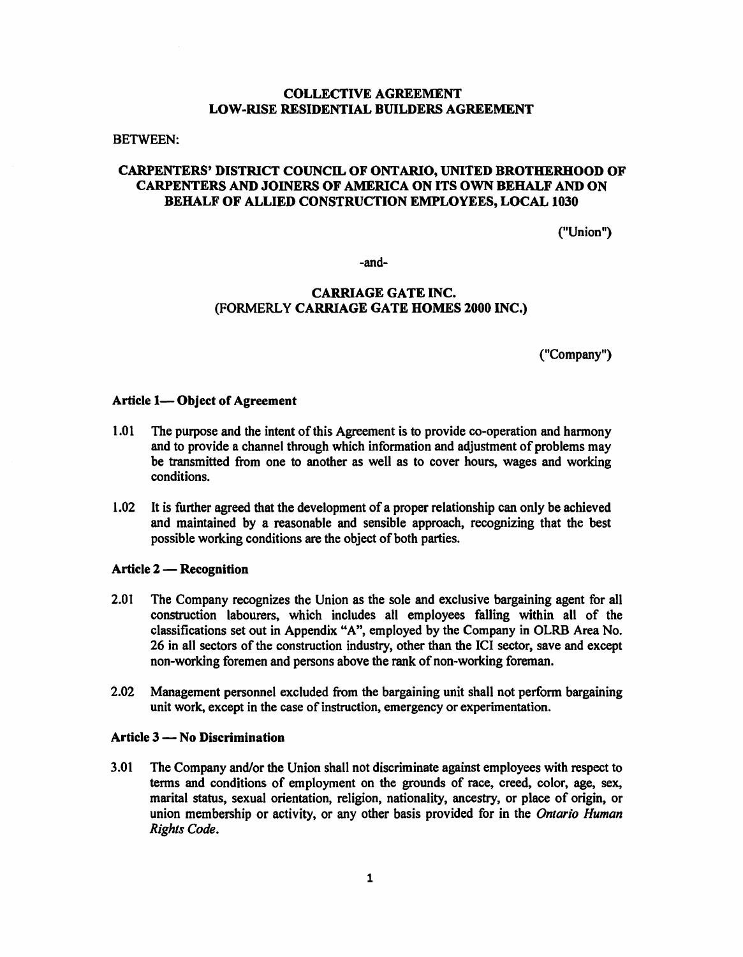# **COLLECTIVE AGREEMENT LOW-RISE RESIDENTIAL BUILDERS AGREEMENT**

#### BETWEEN:

# **CARPENTERS' DISTRICT COUNCIL OF ONTARIO, UNITED BROTHERHOOD OF CARPENTERS AND JOINERS OF AMERICA ON ITS OWN BEHALF AND ON BEHALF OF ALLIED CONSTRUCTION EMPLOYEES, LOCAL 1030**

("Union")

-and-

# **CARRIAGE GATE INC.**  (FORMERLY **CARRIAGE GATE HOMES 2000 INC.)**

("Company")

### Article 1-Object of Agreement

- 1.01 The purpose and the intent of this Agreement is to provide co-operation and harmony and to provide a channel through which information and adjustment of problems may be transmitted from one to another as well as to cover hours, wages and working conditions.
- 1.02 It is further agreed that the development of a proper relationship can only be achieved and maintained by a reasonable and sensible approach, recognizing that the best possible working conditions are the object of both parties.

### Article 2 — Recognition

- 2.01 The Company recognizes the Union as the sole and exclusive bargaining agent for all construction labourers, which includes all employees falling within all of the classifications set out in Appendix "A", employed by the Company in OLRB Area No. 26 in all sectors of the construction industry, other than the ICI sector, save and except non-working foremen and persons above the rank of non-working foreman.
- 2.02 Management personnel excluded from the bargaining unit shall not perform bargaining unit work, except in the case of instruction, emergency or experimentation.

### **Article 3** - **No Discrimination**

3.01 The Company and/or the Union shall not discriminate against employees with respect to terms and conditions of employment on the grounds of race, creed, color, age, sex, marital status, sexual orientation, religion, nationality, ancestry, or place of origin, or union membership or activity, or any other basis provided for in the *Ontario Human Rights Code.*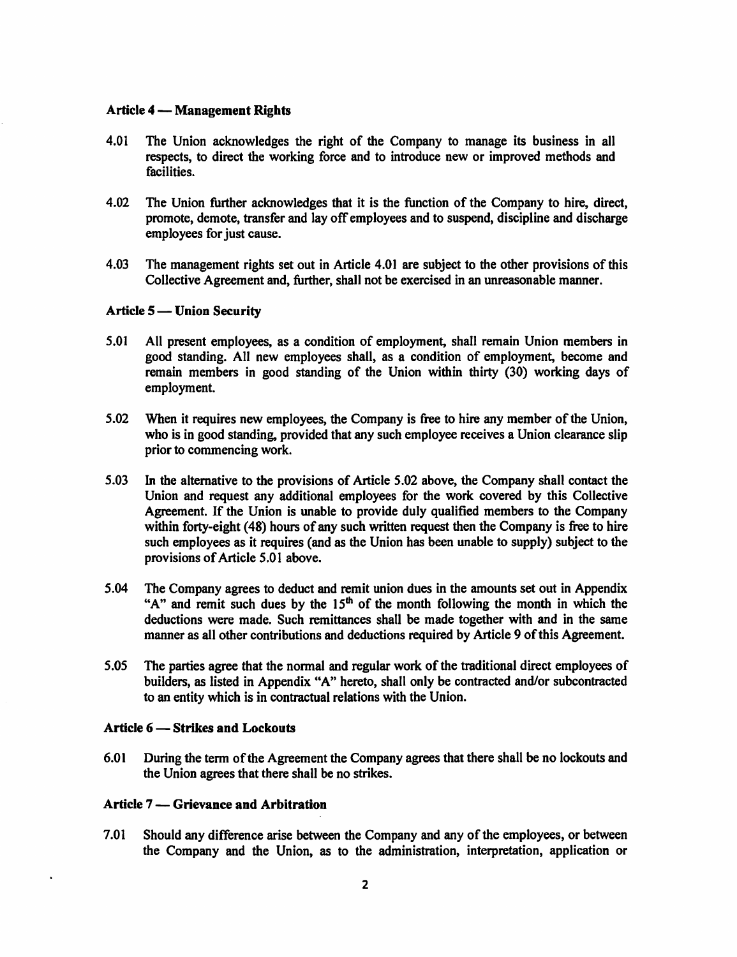#### **Article 4** - **Management Rights**

- 4.01 The Union acknowledges the right of the Company to manage its business in all respects, to direct the working force and to introduce new or improved methods and facilities.
- 4.02 The Union further acknowledges that it is the function of the Company to hire, direct, promote, demote, transfer and lay off employees and to suspend, discipline and discharge employees for just cause.
- 4.03 The management rights set out in Article 4.01 are subject to the other provisions of this Collective Agreement and, further, shall not be exercised in an unreasonable manner.

## Article 5 - Union Security

- 5.01 All present employees, as a condition of employment, shall remain Union members in good standing. All new employees shall, as a condition of employment, become and remain members in good standing of the Union within thirty (30) working days of employment.
- 5.02 When it requires new employees, the Company is free to hire any member of the Union, who is in good standing, provided that any such employee receives a Union clearance slip prior to commencing work.
- 5.03 In the alternative to the provisions of Article 5.02 above, the Company shall contact the Union and request any additional employees for the work covered by this Collective Agreement. If the Union is unable to provide duly qualified members to the Company within forty-eight (48) hours of any such written request then the Company is free to hire such employees as it requires (and as the Union has been unable to supply) subject to the provisions of Article 5.0 I above.
- 5.04 The Company agrees to deduct and remit union dues in the amounts set out in Appendix "A" and remit such dues by the  $15<sup>th</sup>$  of the month following the month in which the deductions were made. Such remittances shall be made together with and in the same manner as all other contributions and deductions required by Article 9 of this Agreement.
- 5.05 The parties agree that the normal and regular work of the traditional direct employees of builders, as listed in Appendix "A" hereto, shall only be contracted and/or subcontracted to an entity which is in contractual relations with the Union.

#### **Article 6 - Strikes and Lockouts**

6.01 During the term of the Agreement the Company agrees that there shall be no lockouts and the Union agrees that there shall be no strikes.

#### **Article** 7 - **Grievance and Arbitration**

7.01 Should any difference arise between the Company and any of the employees, or between the Company and the Union, as to the administration, interpretation, application or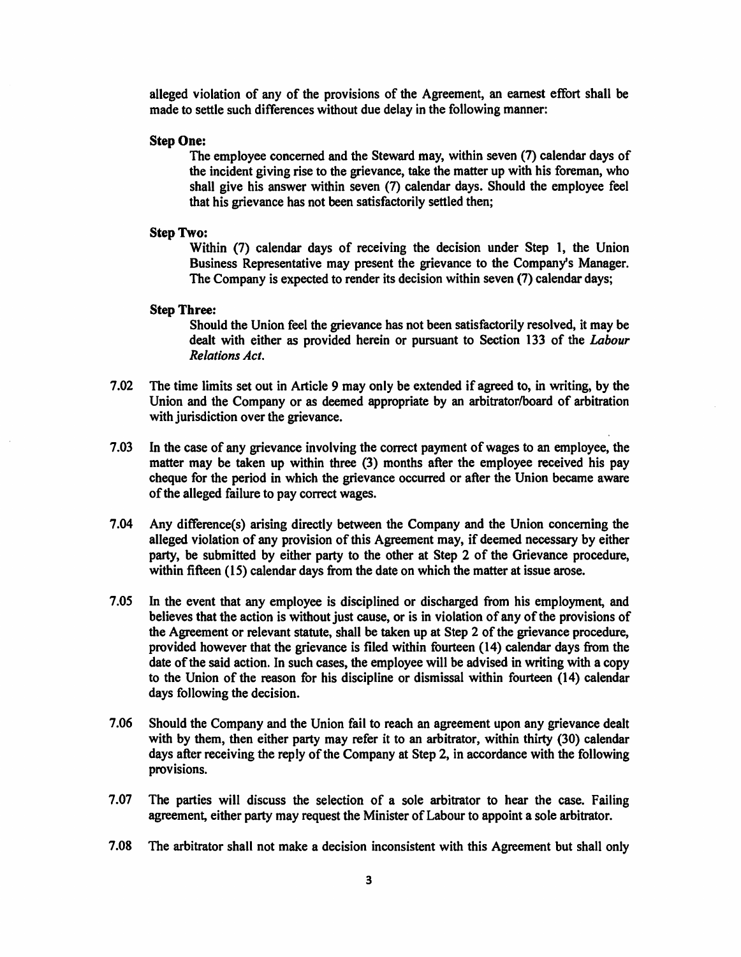alleged violation of any of the provisions of the Agreement, an earnest effort shall be made to settle such differences without due delay in the following manner:

## **Step One:**

The employee concerned and the Steward may, within seven (7) calendar days of the incident giving rise to the grievance, take the matter up with his foreman, who shall give his answer within seven (7) calendar days. Should the employee feel that his grievance has not been satisfactorily settled then;

## **Step Two:**

Within (7) calendar days of receiving the decision under Step 1, the Union Business Representative may present the grievance to the Company's Manager. The Company is expected to render its decision within seven (7) calendar days;

#### **Step Three:**

Should the Union feel the grievance has not been satisfactorily resolved, it may be dealt with either as provided herein or pursuant to Section 133 of the *Labour Relations Act.* 

- 7 .02 The time limits set out in Article 9 may only be extended if agreed to, in writing, by the Union and the Company or as deemed appropriate by an arbitrator/board of arbitration with jurisdiction over the grievance.
- 7.03 In the case of any grievance involving the correct payment of wages to an employee, the matter may be taken up within three (3) months after the employee received his pay cheque for the period in which the grievance occurred or after the Union became aware of the alleged failure to pay correct wages.
- 7.04 Any difference(s) arising directly between the Company and the Union concerning the alleged violation of any provision of this Agreement may, if deemed necessary by either party, be submitted by either party to the other at Step 2 of the Grievance procedure, within fifteen (15) calendar days from the date on which the matter at issue arose.
- 7.05 In the event that any employee is disciplined or discharged from his employment, and believes that the action is without just cause, or is in violation of any of the provisions of the Agreement or relevant statute, shall be taken up at Step 2 of the grievance procedure, provided however that the grievance is filed within fourteen (14) calendar days from the date of the said action. In such cases, the employee will be advised in writing with a copy to the Union of the reason for his discipline or dismissal within fourteen (14) calendar days following the decision.
- 7 .06 Should the Company and the Union fail to reach an agreement upon any grievance dealt with by them, then either party may refer it to an arbitrator, within thirty (30) calendar days after receiving the reply of the Company at Step 2, in accordance with the following provisions.
- 7.07 The parties will discuss the selection of a sole arbitrator to hear the case. Failing agreement, either party may request the Minister of Labour to appoint a sole arbitrator.
- 7 .08 The arbitrator shall not make a decision inconsistent with this Agreement but shall only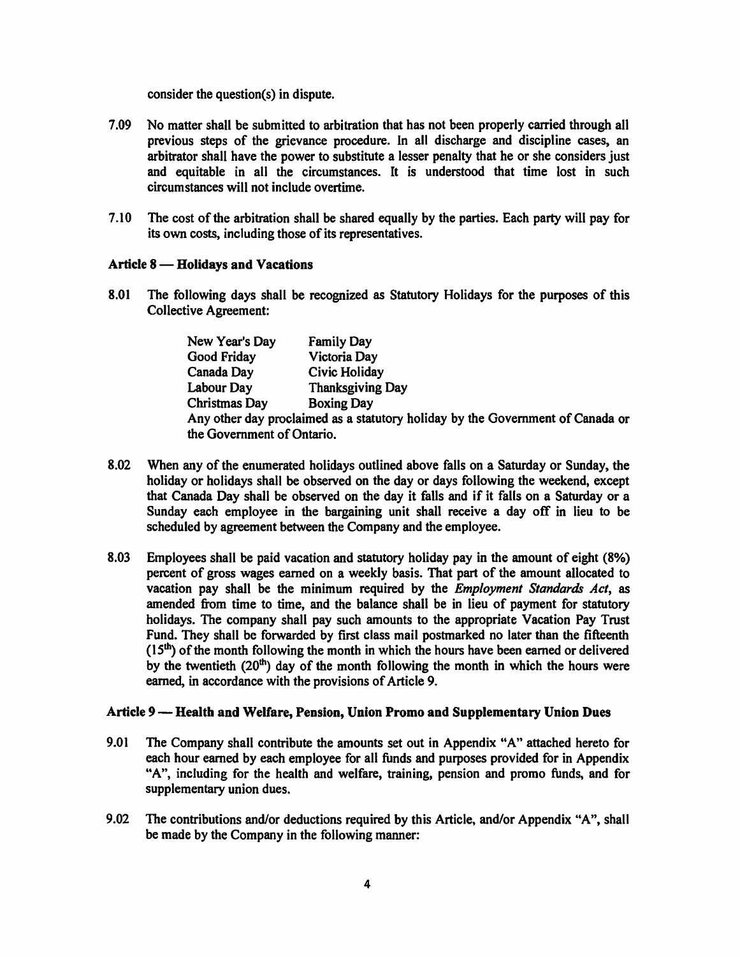consider the question(s) in dispute.

- 7.09 No matter shall be submitted to arbitration that has not been properly carried through all previous steps of the grievance procedure. In all discharge and discipline cases, an arbitrator shall have the power to substitute a lesser penalty that he or she considers just and equitable in all the circumstances. It is understood that time lost in such circumstances will not include overtime.
- 7. IO The cost of the arbitration shall be shared equally by the parties. Each party will pay for its own costs, including those of its representatives.

# Article 8 – **Holidays and Vacations**

8.01 The following days shall be recognized as Statutory Holidays for the purposes of this Collective Agreement:

| New Year's Day             | <b>Family Day</b>                                                              |
|----------------------------|--------------------------------------------------------------------------------|
| <b>Good Friday</b>         | Victoria Day                                                                   |
| Canada Day                 | Civic Holiday                                                                  |
| Labour Day                 | <b>Thanksgiving Day</b>                                                        |
| <b>Christmas Day</b>       | <b>Boxing Day</b>                                                              |
|                            | Any other day proclaimed as a statutory holiday by the Government of Canada or |
| the Government of Ontario. |                                                                                |

- 8.02 When any of the enumerated holidays outlined above falls on a Saturday or Sunday, the holiday or holidays shall be observed on the day or days following the weekend, except that Canada Day shall be observed on the day it falls and if it falls on a Saturday or a Sunday each employee in the bargaining unit shall receive a day off in lieu to be scheduled by agreement between the Company and the employee.
- 8.03 Employees shall be paid vacation and statutory holiday pay in the amount of eight **(8%)**  percent of gross wages earned on a weekly basis. That part of the amount allocated to vacation pay shall be the minimum required by the *Employment Standards Act,* as amended from time to time, and the balance shall be in lieu of payment for statutory holidays. The company shall pay such amounts to the appropriate Vacation Pay Trust Fund. They shall be forwarded by first class mail postmarked no later than the fifteenth  $(15<sup>th</sup>)$  of the month following the month in which the hours have been earned or delivered by the twentieth  $(20<sup>th</sup>)$  day of the month following the month in which the hours were earned, in accordance with the provisions of Article 9.

# **Article 9-Health and Welfare, Pension, Union Promo and Supplementary Union Dues**

- 9.01 The Company shall contribute the amounts set out in Appendix "A" attached hereto for each hour earned by each employee for all funds and purposes provided for in Appendix **"A",** including for the health and welfare, training, pension and promo funds, and for supplementary union dues.
- 9.02 The contributions and/or deductions required by this Article, and/or Appendix "A", shall be made by the Company in the following manner: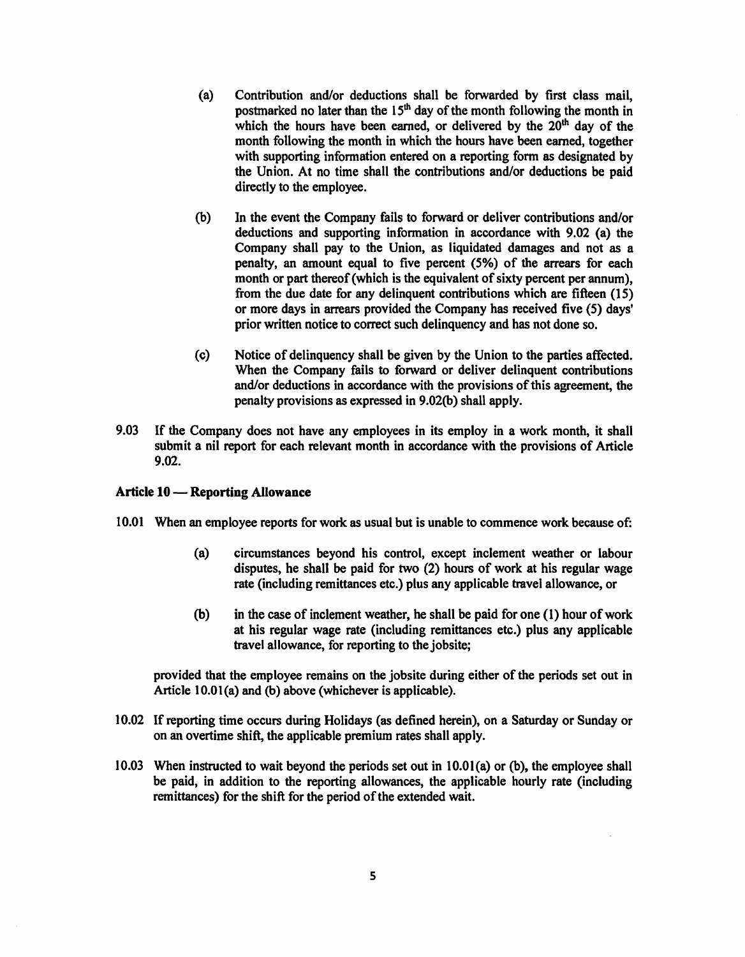- (a) Contribution and/or deductions shall be forwarded by first class mail, postmarked no later than the  $15<sup>th</sup>$  day of the month following the month in which the hours have been earned, or delivered by the  $20<sup>th</sup>$  day of the month following the month in which the hours have been earned, together with supporting information entered on a reporting form as designated by the Union. At no time shall the contributions and/or deductions be paid directly to the employee.
- (b) In the event the Company fails to forward or deliver contributions and/or deductions and supporting information in accordance with 9.02 (a) the Company shall pay to the Union, as liquidated damages and not as a penalty, an amount equal to five percent (5%) of the arrears for each month or part thereof (which is the equivalent of sixty percent per annum), from the due date for any delinquent contributions which are fifteen (15) or more days in arrears provided the Company has received five (5) days' prior written notice to correct such delinquency and has not done so.
- (c) Notice of delinquency shall be given by the Union to the parties affected. When the Company fails to fonvard or deliver delinquent contributions and/or deductions in accordance with the provisions of this agreement, the penalty provisions as expressed in 9.02(b) shall apply.
- 9.03 If the Company does not have any employees in its employ in a work month, it shall submit a nil report for each relevant month in accordance with the provisions of Article 9.02.

# Article 10 - **Reporting Allowance**

- 10.01 When an employee reports for work as usual but is unable to commence work because of:
	- (a) circumstances beyond his control, except inclement weather or labour disputes, he shall be paid for two (2) hours of work at his regular wage rate (including remittances etc.) plus any applicable travel allowance, or
	- (b) in the case of inclement weather, he shall be paid for one (1) hour of work at his regular wage rate (including remittances etc.) plus any applicable travel allowance, for reporting to the jobsite;

provided that the employee remains on the jobsite during either of the periods set out in Article 10.0l(a) and (b) above (whichever is applicable).

- 10.02 If reporting time occurs during Holidays (as defined herein), on a Saturday or Sunday or on an overtime shift, the applicable premium rates shall apply.
- 10.03 When instructed to wait beyond the periods set out in 10.0l(a) or (b), the employee shall be paid, in addition to the reporting allowances, the applicable hourly rate (including remittances) for the shift for the period of the extended wait.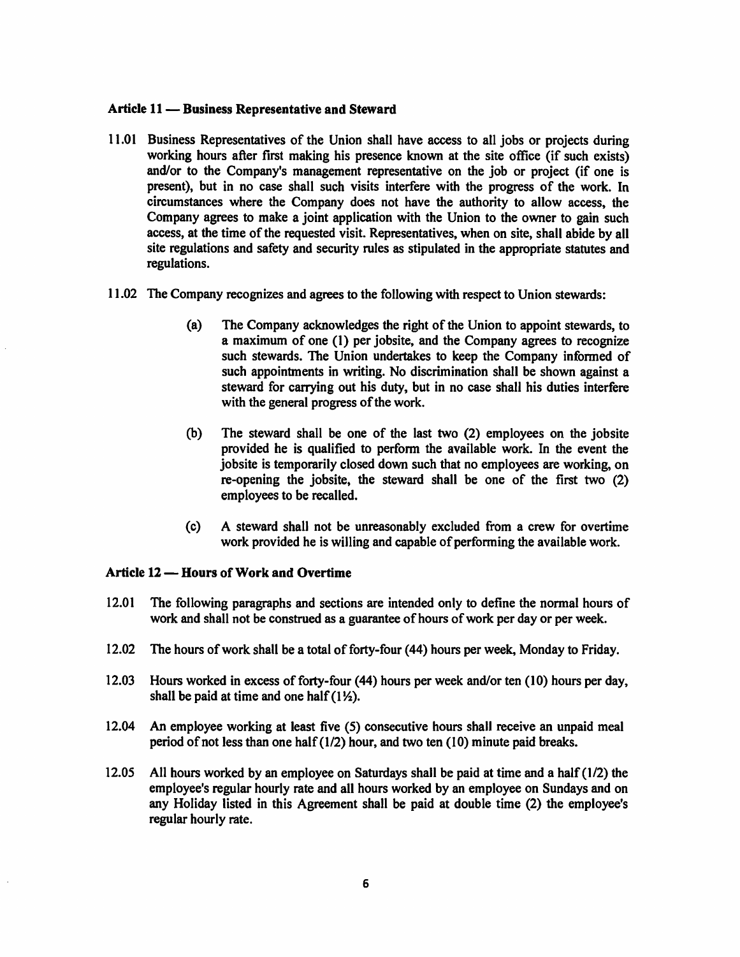### Article 11 - Business Representative and Steward

- 11.01 Business Representatives of the Union shall have access to all jobs or projects during working hours after first making his presence known at the site office (if such exists) and/or to the Company's management representative on the job or project (if one is present), but in no case shall such visits interfere with the progress of the work. In circumstances where the Company does not have the authority to allow access, the Company agrees to make a joint application with the Union to the owner to gain such access, at the time of the requested visit. Representatives, when on site, shall abide by all site regulations and safety and security rules as stipulated in the appropriate statutes and regulations.
- 11.02 The Company recognizes and agrees to the following with respect to Union stewards:
	- (a) The Company acknowledges the right of the Union to appoint stewards, to a maximum of one (I) per jobsite, and the Company agrees to recognize such stewards. The Union undertakes to keep the Company informed of such appointments in writing. No discrimination shall be shown against a steward for carrying out his duty, but in no case shall his duties interfere with the general progress of the work.
	- (b) The steward shall be one of the last two (2) employees on the jobsite provided he is qualified to perfonn the available work. In the event the jobsite is temporarily closed down such that no employees are working, on re-opening the jobsite, the steward shall be one of the first two (2) employees to be recalled.
	- (c) A steward shall not be unreasonably excluded from a crew for overtime work provided he is willing and capable of performing the available work.

# Article 12 – **Hours of Work and Overtime**

- 12.01 The following paragraphs and sections are intended only to define the normal hours of work and shall not be construed as a guarantee of hours of work per day or per week.
- 12.02 The hours of work shall be a total of forty-four (44) hours per week, Monday to Friday.
- 12.03 Hours worked in excess of forty-four (44) hours per week and/or ten (IO) hours per day, shall be paid at time and one half  $(1\frac{1}{2})$ .
- 12.04 An employee working at least five (5) consecutive hours shall receive an unpaid meal period of not less than one half(l/2) hour, and two ten (IO) minute paid breaks.
- 12.05 All hours worked by an employee on Saturdays shall be paid at time and a half (1/2) the employee's regular hourly rate and all hours worked by an employee on Sundays and on any Holiday listed in this Agreement shall be paid at double time (2) the employee's regular hourly rate.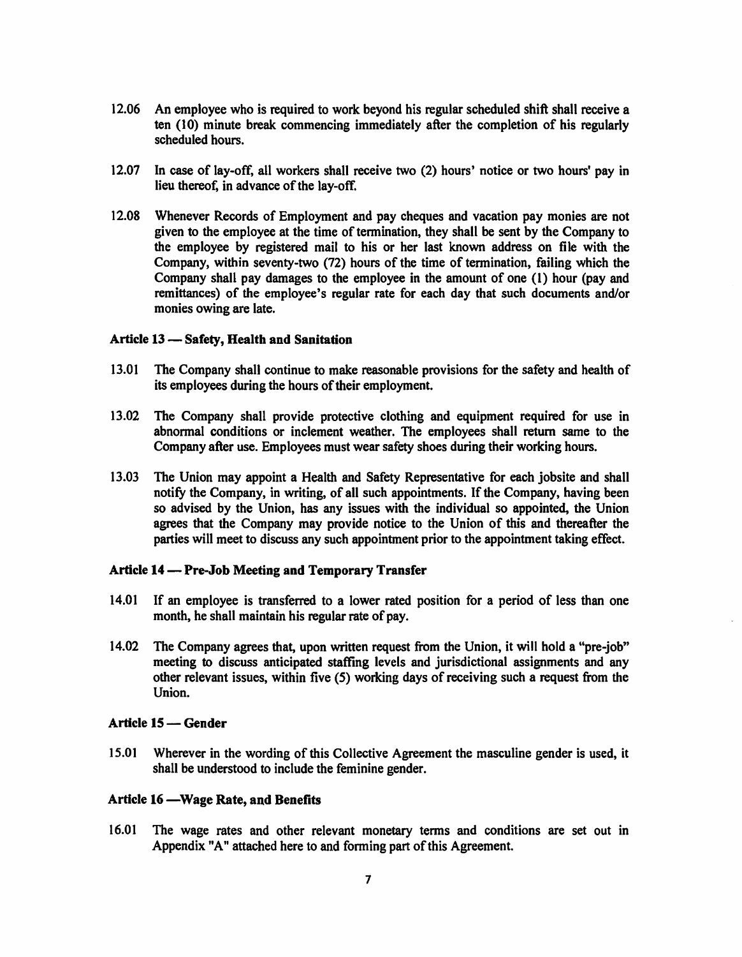- 12.06 An employee who is required to work beyond his regular scheduled shift shall receive a ten (10) minute break commencing immediately after the completion of his regularly scheduled hours.
- 12.07 In case of lay-off, all workers shall receive two (2) hours' notice or two hours' pay in lieu thereof, in advance of the lay-off.
- 12.08 Whenever Records of Employment and pay cheques and vacation pay monies are not given to the employee at the time of tennination, they shall be sent by the Company to the employee by registered mail to his or her last known address on file with the Company, within seventy-two (72) hours of the time of tennination, failing which the Company shall pay damages to the employee in the amount of one (1) hour (pay and remittances) of the employee's regular rate for each day that such documents and/or monies owing are late.

## **Article 13** - **Safety, Health and Sanitation**

- 13.01 The Company shall continue to make reasonable provisions for the safety and health of its employees during the hours of their employment.
- 13.02 The Company shall provide protective clothing and equipment required for use in abnormal conditions or inclement weather. The employees shall return same to the Company after use. Employees must wear safety shoes during their working hours.
- 13.03 The Union may appoint a Health and Safety Representative for each jobsite and shall notify the Company, in writing, of all such appointments. If the Company, having been so advised by the Union, has any issues with the individual so appointed, the Union agrees that the Company may provide notice to the Union of this and thereafter the parties will meet to discuss any such appointment prior to the appointment taking effect.

#### **Article 14** - **Pre-Job Meeting and Temporary Transfer**

- 14.01 If an employee is transferred to a lower rated position for a period of less than one month, he shall maintain his regular rate of pay.
- 14.02 The Company agrees that, upon written request from the Union, it will hold a "pre-job" meeting to discuss anticipated staffing levels and jurisdictional assignments and any other relevant issues, within five (5) working days of receiving such a request from the Union.

## Article 15 – Gender

15.01 Wherever in the wording of this Collective Agreement the masculine gender is used, it shall be understood to include the feminine gender.

# **Article 16 -Wage Rate, and Benefits**

16.01 The wage rates and other relevant monetary tenns and conditions are set out in Appendix "A" attached here to and forming part of this Agreement.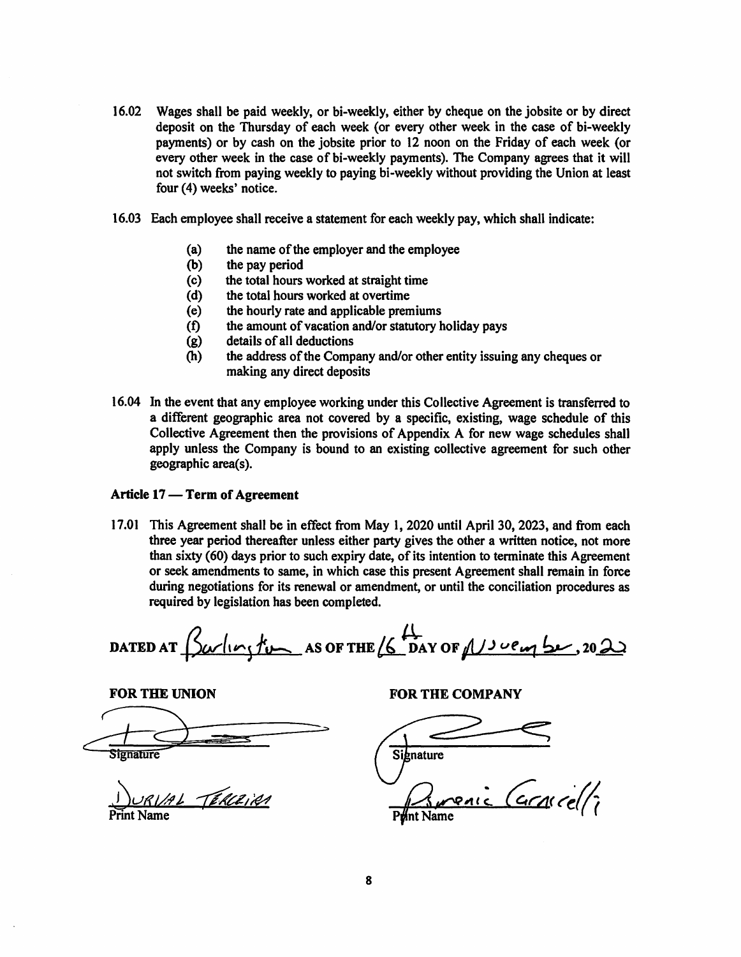- 16.02 Wages shall be paid weekly, or bi-weekly, either by cheque on the jobsite or by direct deposit on the Thursday of each week (or every other week in the case of bi-weekly payments) or by cash on the jobsite prior to 12 noon on the Friday of each week (or every other week in the case of bi-weekly payments). The Company agrees that it will not switch from paying weekly to paying bi-weekly without providing the Union at least four (4) weeks' notice.
- 16.03 Each employee shall receive a statement for each weekly pay, which shall indicate:
	- (a) the name of the employer and the employee
	- (b) the pay period
	- (c) the total hours worked at straight time
	- (d) the total hours worked at overtime
	- (e) the hourly rate and applicable premiums
	- (f) the amount of vacation and/or statutory holiday pays
	- (g) details of all deductions
	- (h) the address of the Company and/or other entity issuing any cheques or making any direct deposits
- 16.04 In the event that any employee working under this Collective Agreement is transferred to a different geographic area not covered by a specific, existing, wage schedule of this Collective Agreement then the provisions of Appendix A for new wage schedules shall apply unless the Company is bound to an existing collective agreement for such other geographic area(s).

### Article 17 – Term of Agreement

17.01 This Agreement shall be in effect from May 1, 2020 until April 30, 2023, and from each three year period thereafter unless either party gives the other a written notice, not more than sixty (60) days prior to such expiry date, of its intention to terminate this Agreement or seek amendments to same, in which case this present Agreement shall remain in force during negotiations for its renewal or amendment, or until the conciliation procedures as required by legislation has been completed.

 $\frac{\mu}{\Delta}$  AS OF THE  $\frac{\mu}{\Delta}$  DAY OF  $\mu$   $\mu$ **DATED AT** 

FOR THE UNION FOR THE COMPANY FOR THE UNION

) URIAL TERCEIRA

Signature

Print Name *Q.c9,11* ~ ~4< "~0 *Ant Name*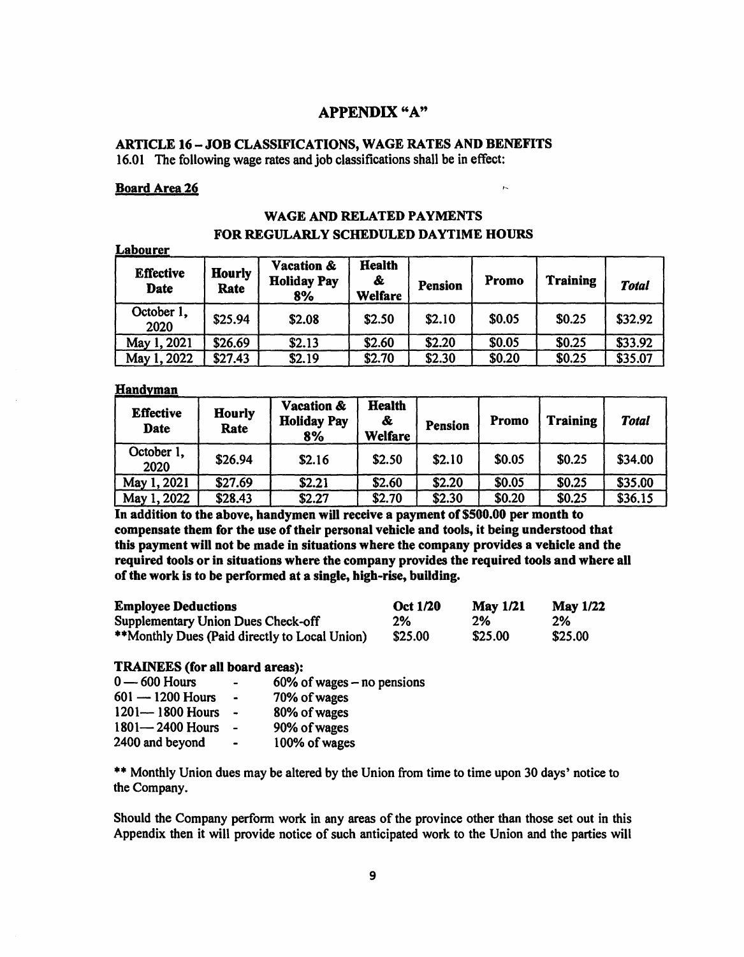# **APPENDIX "A"**

# **ARTICLE 16-JOB CLASSIFICATIONS, WAGE RATES AND BENEFITS**  16.01 The following wage rates and job classifications shall be in effect:

#### **Board Area 26**

**Labourer** 

# **WAGE AND RELATED PAYMENTS FOR REGULARLY SCHEDULED DAYTIME HOURS**

 $\overline{P}$ 

| L'Adouref<br><b>Effective</b><br><b>Date</b> | <b>Hourly</b><br>Rate | <b>Vacation &amp;</b><br><b>Holiday Pay</b><br>8% | <b>Health</b><br>&<br><b>Welfare</b> | <b>Pension</b> | Promo  | <b>Training</b> | <b>Total</b> |
|----------------------------------------------|-----------------------|---------------------------------------------------|--------------------------------------|----------------|--------|-----------------|--------------|
| October 1,<br>2020                           | \$25.94               | \$2.08                                            | \$2.50                               | \$2.10         | \$0.05 | \$0.25          | \$32.92      |
| May 1, 2021                                  | \$26.69               | \$2.13                                            | \$2.60                               | \$2.20         | \$0.05 | \$0.25          | \$33.92      |
| May 1, 2022                                  | \$27.43               | \$2.19                                            | \$2.70                               | \$2.30         | \$0.20 | \$0.25          | \$35.07      |

#### **Handyman**

| <b>Effective</b><br>Date | <b>Hourly</b><br>Rate | <b>Vacation &amp;</b><br><b>Holiday Pay</b><br>8% | <b>Health</b><br>&<br><b>Welfare</b> | Pension | Promo  | <b>Training</b> | <b>Total</b> |
|--------------------------|-----------------------|---------------------------------------------------|--------------------------------------|---------|--------|-----------------|--------------|
| October 1,<br>2020       | \$26.94               | \$2.16                                            | \$2.50                               | \$2.10  | \$0.05 | \$0.25          | \$34.00      |
| May 1, 2021              | \$27.69               | \$2.21                                            | \$2.60                               | \$2.20  | \$0.05 | \$0.25          | \$35.00      |
| May 1, 2022              | \$28.43               | \$2.27                                            | \$2.70                               | \$2.30  | \$0.20 | \$0.25          | \$36.15      |

In **addition to the above, handymen will receive a payment of \$500.00 per month to compensate them for the use of their personal vehicle and tools, it being understood that this payment will not be made in situations where the company provides a vehicle and the required tools or in situations where the company provides the required tools and where all of the work is to be performed at a single, high-rise, building.** 

| <b>Employee Deductions</b>                    | <b>Oct 1/20</b> | May $1/21$ | <b>May 1/22</b> |
|-----------------------------------------------|-----------------|------------|-----------------|
| Supplementary Union Dues Check-off            | 2%              | 2%         | 2%              |
| **Monthly Dues (Paid directly to Local Union) | \$25.00         | \$25.00    | \$25.00         |

### **TRAINEES (for all board areas):**

| $0 - 600$ Hours     | $\blacksquare$ | 60% of wages $-$ no pensions |
|---------------------|----------------|------------------------------|
| $601 - 1200$ Hours  | $\blacksquare$ | 70% of wages                 |
| $1201 - 1800$ Hours |                | 80% of wages                 |
| $1801 - 2400$ Hours |                | 90% of wages                 |
| 2400 and beyond     | $\bullet$      | 100% of wages                |

\*\* Monthly Union dues may be altered by the Union from time to time upon 30 days' notice to the Company.

Should the Company perform work in any areas of the province other than those set out in this Appendix then it will provide notice of such anticipated work to the Union and the parties will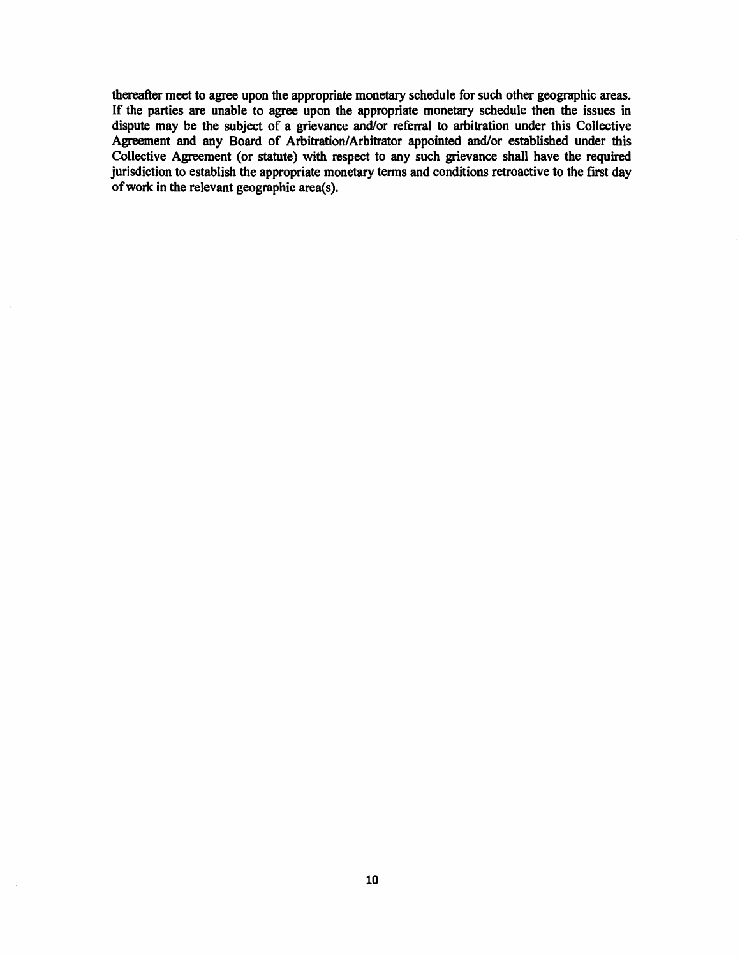thereafter meet to agree upon the appropriate monetary schedule for such other geographic areas. If the parties are unable to agree upon the appropriate monetary schedule then the issues in dispute may be the subject of a grievance and/or referral to arbitration under this Collective Agreement and any Board of Arbitration/Arbitrator appointed and/or established under this Collective Agreement (or statute) with respect to any such grievance shall have the required jurisdiction to establish the appropriate monetary terms and conditions retroactive to the first day of work in the relevant geographic area(s).

 $\bar{z}$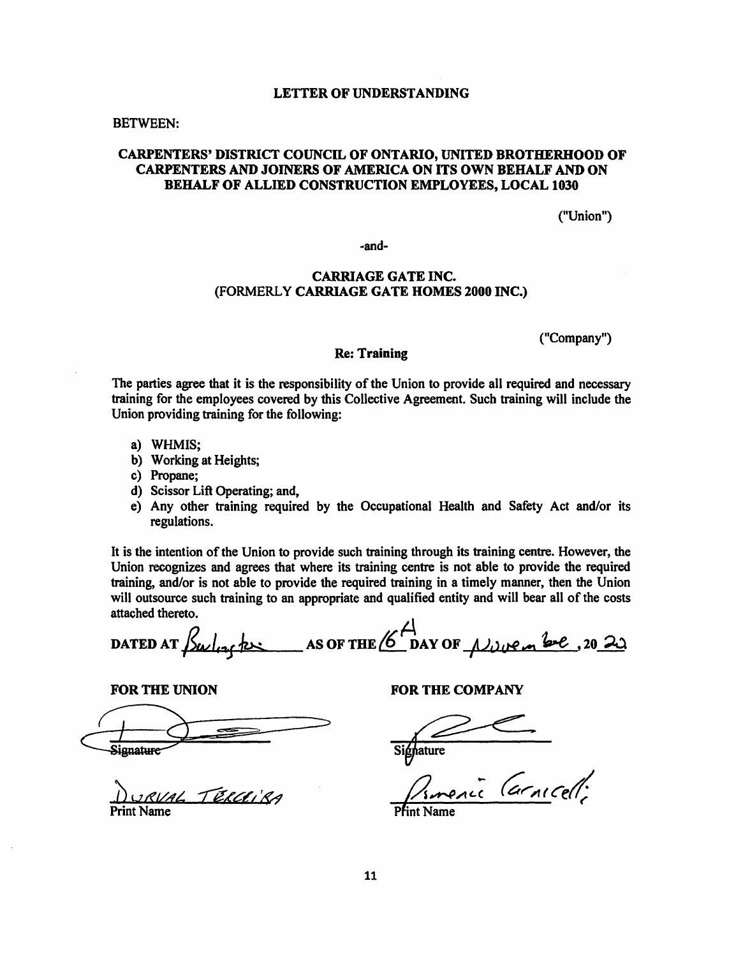#### **LETTER OF UNDERSTANDING**

#### BETWEEN:

# **CARPENTERS' DISTRICT COUNCIL OF ONTARIO, UNITED BROTHERHOOD OF CARPENTERS AND JOINERS OF AMERICA ON ITS OWN BEHALF AND ON BEHALF OF ALLIED CONSTRUCTION EMPLOYEES, LOCAL 1030**

("Union")

-and-

# **CARRIAGE GATE INC.**  (FORMERLY **CARRIAGE GATE HOMES 2000 INC.)**

("Company")

## **Re: Training**

The parties agree that it is the responsibility of the Union to provide all required and necessary training for the employees covered by this Collective Agreement. Such training will include the Union providing training for the following:

- a) WHMIS;
- b) Working at Heights;
- c) Propane;
- d) Scissor Lift Operating; and,
- e) Any other training required by the Occupational Health and Safety Act and/or its regulations.

It is the intention of the Union to provide such training through its training centre. However, the Union recognizes and agrees that where its training centre is not able to provide the required training, and/or is not able to provide the required training in a timely manner, then the Union will outsource such training to an appropriate and qualified entity and will bear all of the costs attached thereto.

DATED AT  $\frac{\int_{\mathcal{U}}\int_{\mathcal{U}}\rho(x)dx}{\int_{\mathcal{U}}\int_{\mathcal{U}}\rho(x)dx}$  $\overline{A}$ AS OF THE  $6^{\prime\prime}$  DAY OF  $\mu$  we a see, 20 20

FOR THE UNION

FOR THE UNION

0 URVAL TERCEIBA Print Name

FOR THE COMPANY

Sighature

<u>a.</u><br>11 arnicell;

Pfint Name